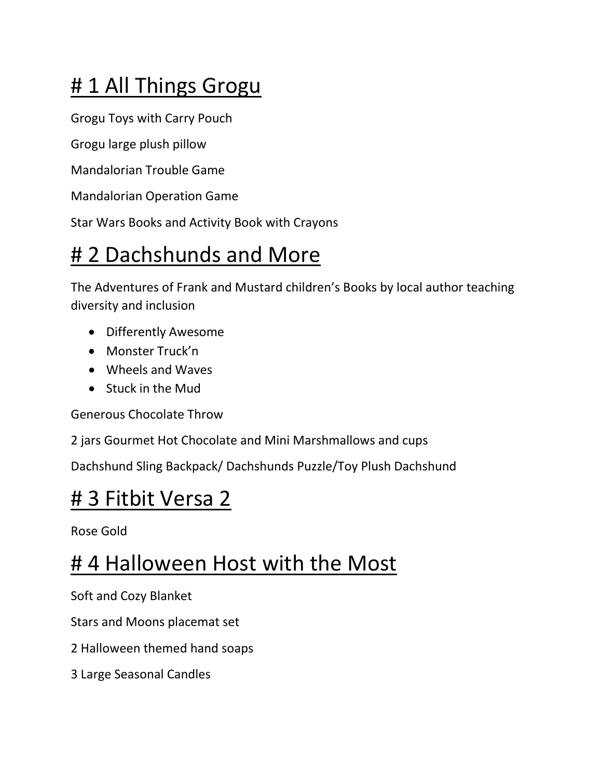# #1 All Things Grogu

Grogu Toys with Carry Pouch

Grogu large plush pillow

Mandalorian Trouble Game

Mandalorian Operation Game

Star Wars Books and Activity Book with Crayons

## # 2 Dachshunds and More

The Adventures of Frank and Mustard children's Books by local author teaching diversity and inclusion

- Differently Awesome
- Monster Truck'n
- Wheels and Waves
- Stuck in the Mud

Generous Chocolate Throw

2 jars Gourmet Hot Chocolate and Mini Marshmallows and cups

Dachshund Sling Backpack/ Dachshunds Puzzle/Toy Plush Dachshund

#### # 3 Fitbit Versa 2

Rose Gold

## # 4 Halloween Host with the Most

Soft and Cozy Blanket

Stars and Moons placemat set

- 2 Halloween themed hand soaps
- 3 Large Seasonal Candles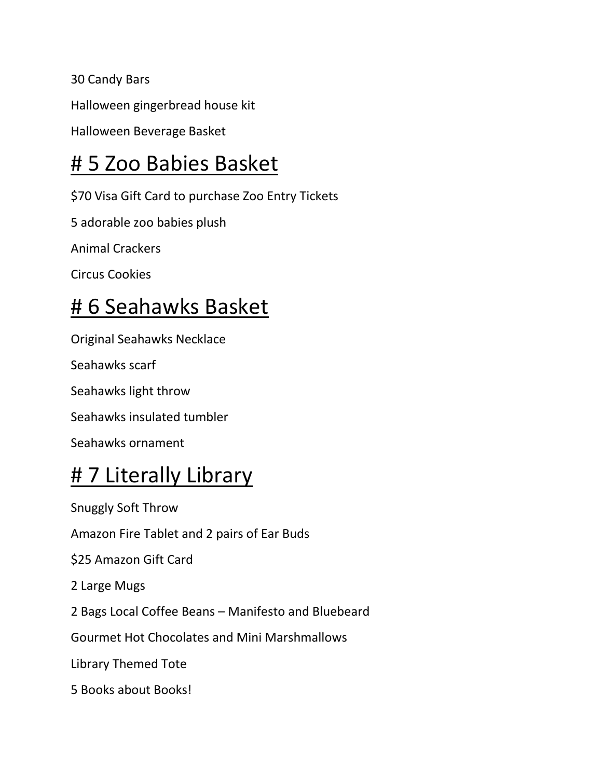30 Candy Bars Halloween gingerbread house kit Halloween Beverage Basket

## # 5 Zoo Babies Basket

\$70 Visa Gift Card to purchase Zoo Entry Tickets

5 adorable zoo babies plush

Animal Crackers

Circus Cookies

## # 6 Seahawks Basket

Original Seahawks Necklace

Seahawks scarf

Seahawks light throw

Seahawks insulated tumbler

Seahawks ornament

## **#7 Literally Library**

Snuggly Soft Throw Amazon Fire Tablet and 2 pairs of Ear Buds \$25 Amazon Gift Card 2 Large Mugs 2 Bags Local Coffee Beans – Manifesto and Bluebeard Gourmet Hot Chocolates and Mini Marshmallows Library Themed Tote 5 Books about Books!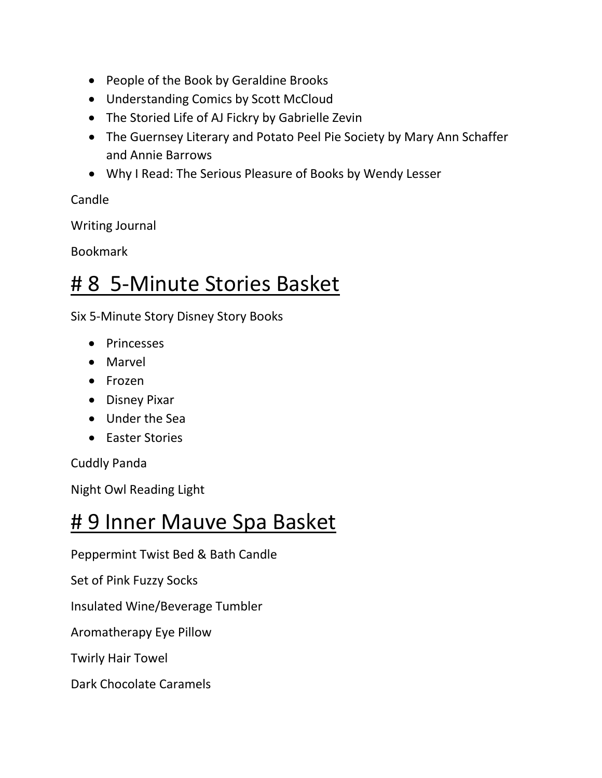- People of the Book by Geraldine Brooks
- Understanding Comics by Scott McCloud
- The Storied Life of AJ Fickry by Gabrielle Zevin
- The Guernsey Literary and Potato Peel Pie Society by Mary Ann Schaffer and Annie Barrows
- Why I Read: The Serious Pleasure of Books by Wendy Lesser

Candle

Writing Journal

Bookmark

#### # 8 5-Minute Stories Basket

Six 5-Minute Story Disney Story Books

- Princesses
- Marvel
- Frozen
- Disney Pixar
- Under the Sea
- Easter Stories

Cuddly Panda

Night Owl Reading Light

#### # 9 Inner Mauve Spa Basket

Peppermint Twist Bed & Bath Candle

Set of Pink Fuzzy Socks

Insulated Wine/Beverage Tumbler

Aromatherapy Eye Pillow

Twirly Hair Towel

Dark Chocolate Caramels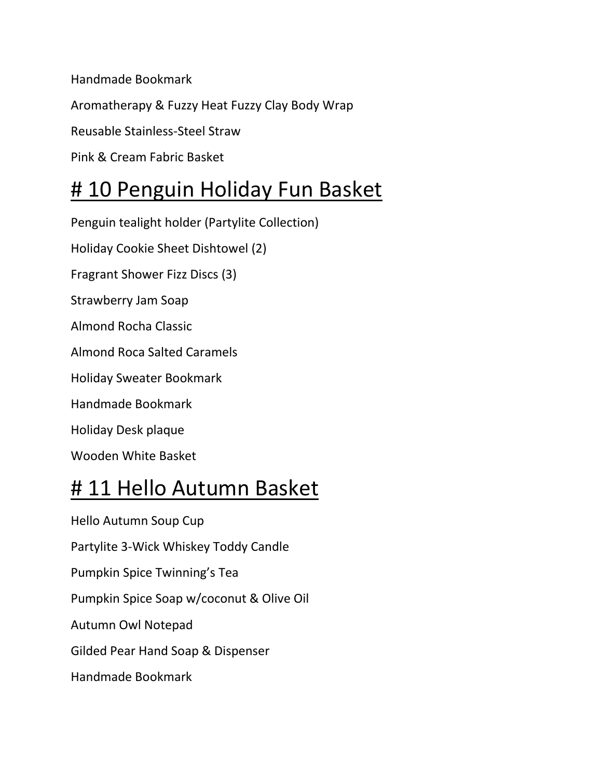Handmade Bookmark

Aromatherapy & Fuzzy Heat Fuzzy Clay Body Wrap

Reusable Stainless-Steel Straw

Pink & Cream Fabric Basket

#### # 10 Penguin Holiday Fun Basket

Penguin tealight holder (Partylite Collection) Holiday Cookie Sheet Dishtowel (2) Fragrant Shower Fizz Discs (3) Strawberry Jam Soap Almond Rocha Classic Almond Roca Salted Caramels Holiday Sweater Bookmark Handmade Bookmark Holiday Desk plaque Wooden White Basket

#### # 11 Hello Autumn Basket

Hello Autumn Soup Cup Partylite 3-Wick Whiskey Toddy Candle Pumpkin Spice Twinning's Tea Pumpkin Spice Soap w/coconut & Olive Oil Autumn Owl Notepad Gilded Pear Hand Soap & Dispenser Handmade Bookmark